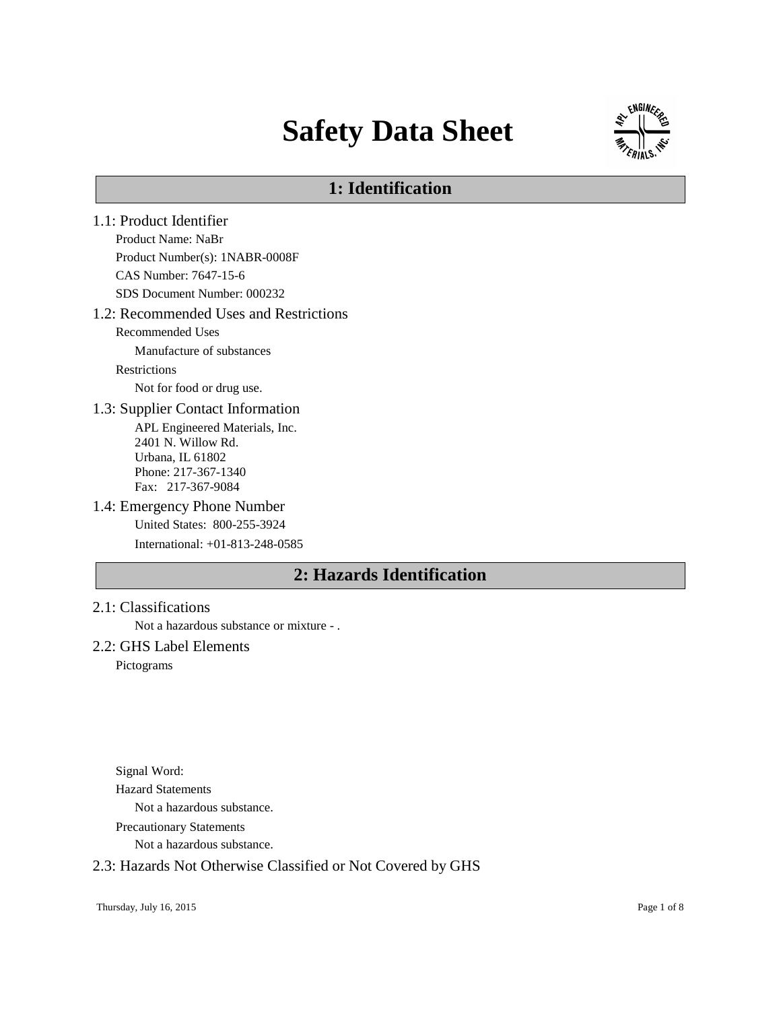# **Safety Data Sheet**



# **1: Identification**

- 1.1: Product Identifier Product Name: NaBr Product Number(s): 1NABR-0008F CAS Number: 7647-15-6 SDS Document Number: 000232 1.2: Recommended Uses and Restrictions Recommended Uses Manufacture of substances Restrictions Not for food or drug use. 1.3: Supplier Contact Information APL Engineered Materials, Inc. 2401 N. Willow Rd. Urbana, IL 61802 Phone: 217-367-1340 Fax: 217-367-9084 1.4: Emergency Phone Number United States: 800-255-3924 International: +01-813-248-0585 **2: Hazards Identification**
- 2.1: Classifications

Not a hazardous substance or mixture - .

## 2.2: GHS Label Elements

Pictograms

Signal Word: Hazard Statements Not a hazardous substance. Precautionary Statements

Not a hazardous substance.

## 2.3: Hazards Not Otherwise Classified or Not Covered by GHS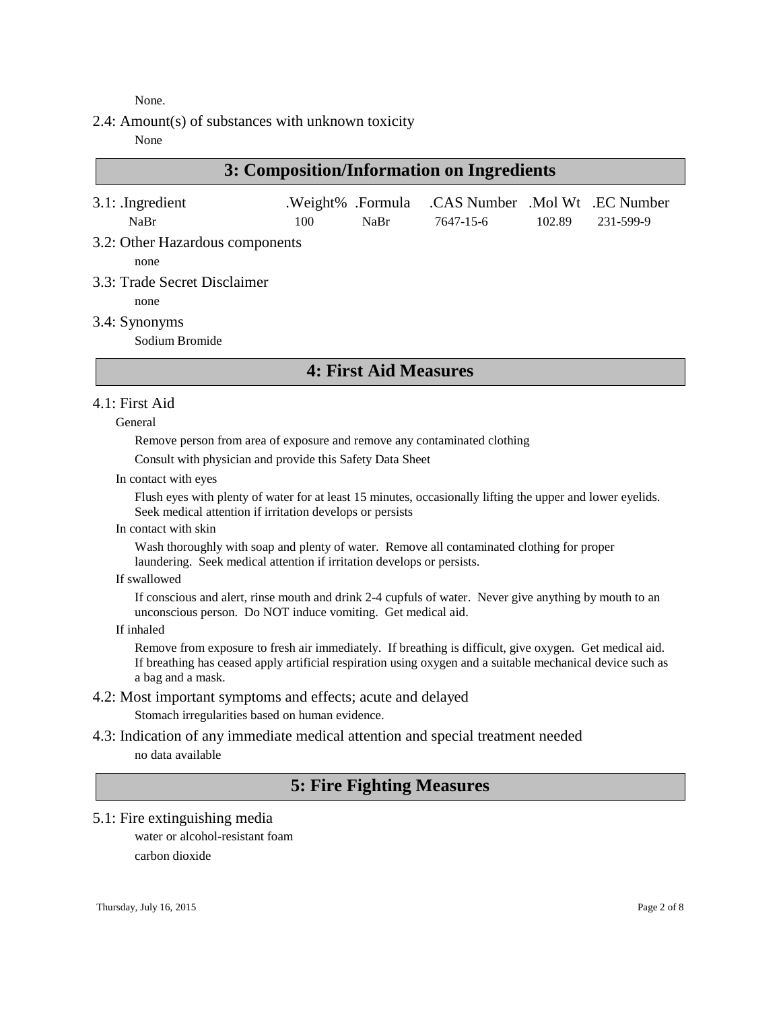None.

2.4: Amount(s) of substances with unknown toxicity

None

# **3: Composition/Information on Ingredients**

| $3.1:$ Ingredient               |     |      | .Weight% .Formula .CAS Number .Mol Wt .EC Number |        |           |
|---------------------------------|-----|------|--------------------------------------------------|--------|-----------|
| NaBr                            | 100 | NaBr | 7647-15-6                                        | 102.89 | 231-599-9 |
| 3.2: Other Hazardous components |     |      |                                                  |        |           |
| none                            |     |      |                                                  |        |           |
| 3.3: Trade Secret Disclaimer    |     |      |                                                  |        |           |

none

3.4: Synonyms

Sodium Bromide

## **4: First Aid Measures**

### 4.1: First Aid

General

Remove person from area of exposure and remove any contaminated clothing

Consult with physician and provide this Safety Data Sheet

In contact with eyes

Flush eyes with plenty of water for at least 15 minutes, occasionally lifting the upper and lower eyelids. Seek medical attention if irritation develops or persists

In contact with skin

Wash thoroughly with soap and plenty of water. Remove all contaminated clothing for proper laundering. Seek medical attention if irritation develops or persists.

If swallowed

If conscious and alert, rinse mouth and drink 2-4 cupfuls of water. Never give anything by mouth to an unconscious person. Do NOT induce vomiting. Get medical aid.

If inhaled

Remove from exposure to fresh air immediately. If breathing is difficult, give oxygen. Get medical aid. If breathing has ceased apply artificial respiration using oxygen and a suitable mechanical device such as a bag and a mask.

# 4.2: Most important symptoms and effects; acute and delayed

Stomach irregularities based on human evidence.

4.3: Indication of any immediate medical attention and special treatment needed no data available

# **5: Fire Fighting Measures**

5.1: Fire extinguishing media water or alcohol-resistant foam

carbon dioxide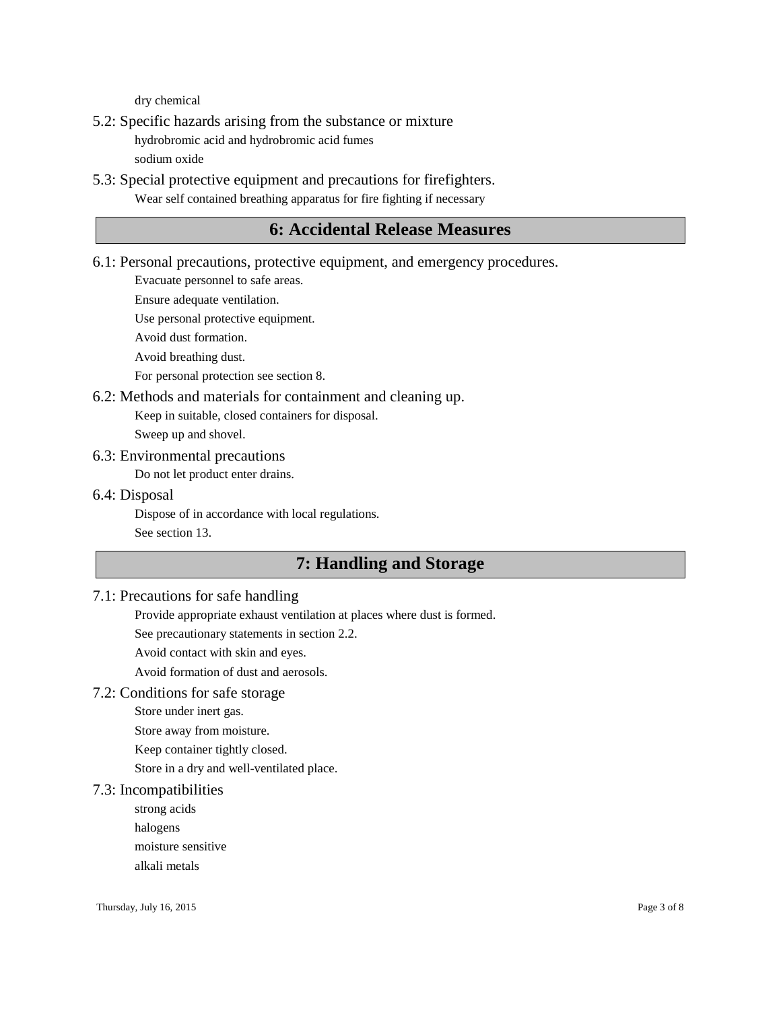dry chemical

5.2: Specific hazards arising from the substance or mixture

hydrobromic acid and hydrobromic acid fumes

sodium oxide

5.3: Special protective equipment and precautions for firefighters. Wear self contained breathing apparatus for fire fighting if necessary

# **6: Accidental Release Measures**

6.1: Personal precautions, protective equipment, and emergency procedures.

Evacuate personnel to safe areas.

Ensure adequate ventilation.

Use personal protective equipment.

Avoid dust formation.

Avoid breathing dust.

For personal protection see section 8.

6.2: Methods and materials for containment and cleaning up.

Keep in suitable, closed containers for disposal.

Sweep up and shovel.

#### 6.3: Environmental precautions

Do not let product enter drains.

#### 6.4: Disposal

Dispose of in accordance with local regulations. See section 13.

# **7: Handling and Storage**

## 7.1: Precautions for safe handling

Provide appropriate exhaust ventilation at places where dust is formed.

See precautionary statements in section 2.2.

Avoid contact with skin and eyes.

Avoid formation of dust and aerosols.

## 7.2: Conditions for safe storage

Store under inert gas.

Store away from moisture.

Keep container tightly closed.

Store in a dry and well-ventilated place.

## 7.3: Incompatibilities

strong acids

halogens

moisture sensitive

alkali metals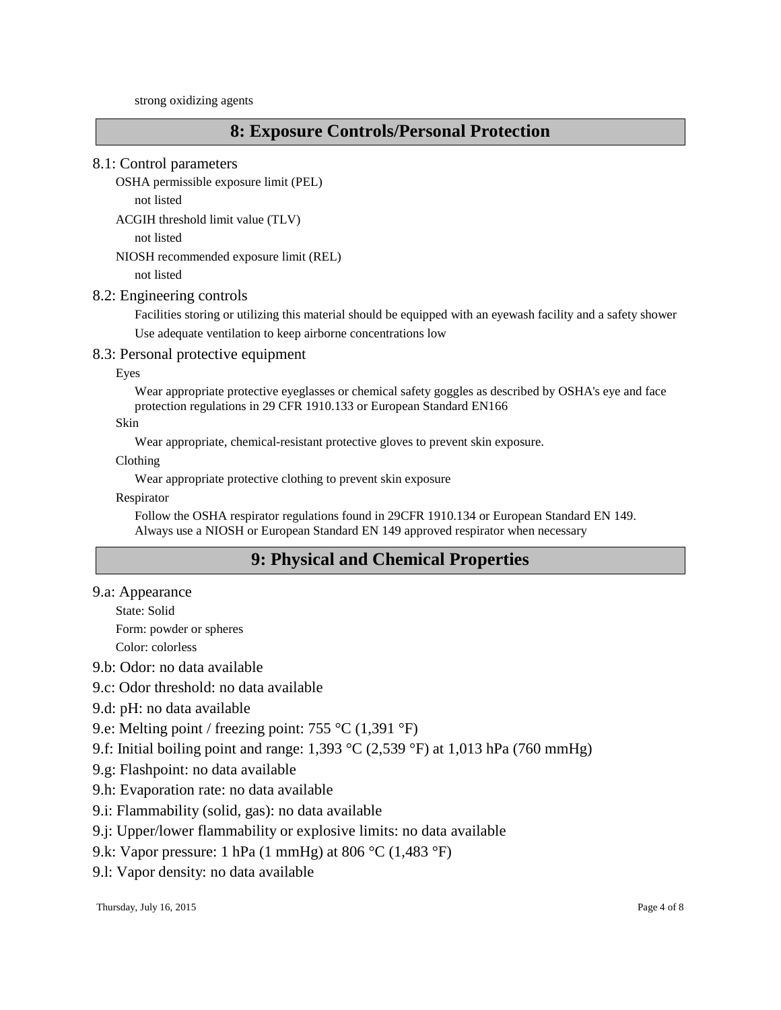strong oxidizing agents

# **8: Exposure Controls/Personal Protection**

#### 8.1: Control parameters

```
OSHA permissible exposure limit (PEL)
```
not listed

ACGIH threshold limit value (TLV)

not listed

NIOSH recommended exposure limit (REL)

not listed

#### 8.2: Engineering controls

Facilities storing or utilizing this material should be equipped with an eyewash facility and a safety shower Use adequate ventilation to keep airborne concentrations low

#### 8.3: Personal protective equipment

Eyes

Wear appropriate protective eyeglasses or chemical safety goggles as described by OSHA's eye and face protection regulations in 29 CFR 1910.133 or European Standard EN166

Skin

Wear appropriate, chemical-resistant protective gloves to prevent skin exposure.

Clothing

Wear appropriate protective clothing to prevent skin exposure

Respirator

Follow the OSHA respirator regulations found in 29CFR 1910.134 or European Standard EN 149. Always use a NIOSH or European Standard EN 149 approved respirator when necessary

# **9: Physical and Chemical Properties**

9.a: Appearance

State: Solid

Form: powder or spheres

Color: colorless

9.b: Odor: no data available

9.c: Odor threshold: no data available

9.d: pH: no data available

9.e: Melting point / freezing point: 755 °C (1,391 °F)

9.f: Initial boiling point and range: 1,393 °C (2,539 °F) at 1,013 hPa (760 mmHg)

9.g: Flashpoint: no data available

9.h: Evaporation rate: no data available

9.i: Flammability (solid, gas): no data available

9.j: Upper/lower flammability or explosive limits: no data available

9.k: Vapor pressure: 1 hPa (1 mmHg) at 806 °C (1,483 °F)

9.l: Vapor density: no data available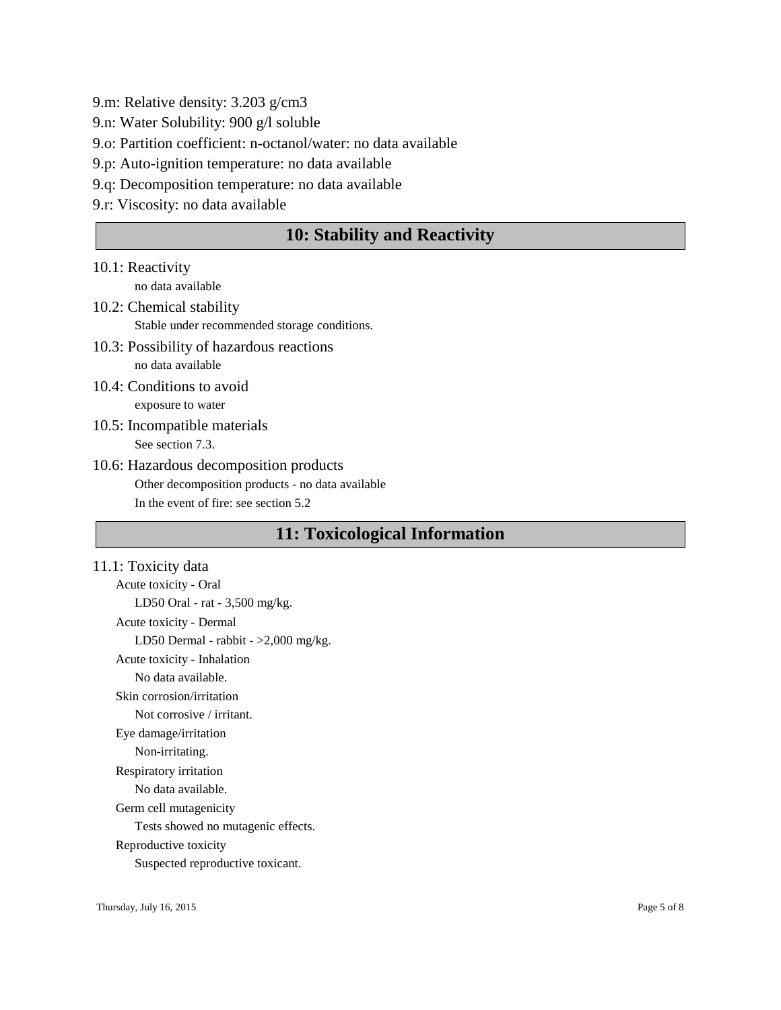9.m: Relative density: 3.203 g/cm3

9.n: Water Solubility: 900 g/l soluble

9.o: Partition coefficient: n-octanol/water: no data available

9.p: Auto-ignition temperature: no data available

9.q: Decomposition temperature: no data available

9.r: Viscosity: no data available

## **10: Stability and Reactivity**

10.1: Reactivity

no data available

- 10.2: Chemical stability Stable under recommended storage conditions.
- 10.3: Possibility of hazardous reactions no data available
- 10.4: Conditions to avoid exposure to water
- 10.5: Incompatible materials See section 7.3.
- 10.6: Hazardous decomposition products Other decomposition products - no data available In the event of fire: see section 5.2

# **11: Toxicological Information**

11.1: Toxicity data Acute toxicity - Oral LD50 Oral - rat - 3,500 mg/kg. Acute toxicity - Dermal LD50 Dermal - rabbit - >2,000 mg/kg. Acute toxicity - Inhalation No data available. Skin corrosion/irritation Not corrosive / irritant. Eye damage/irritation Non-irritating. Respiratory irritation No data available. Germ cell mutagenicity Tests showed no mutagenic effects. Reproductive toxicity Suspected reproductive toxicant.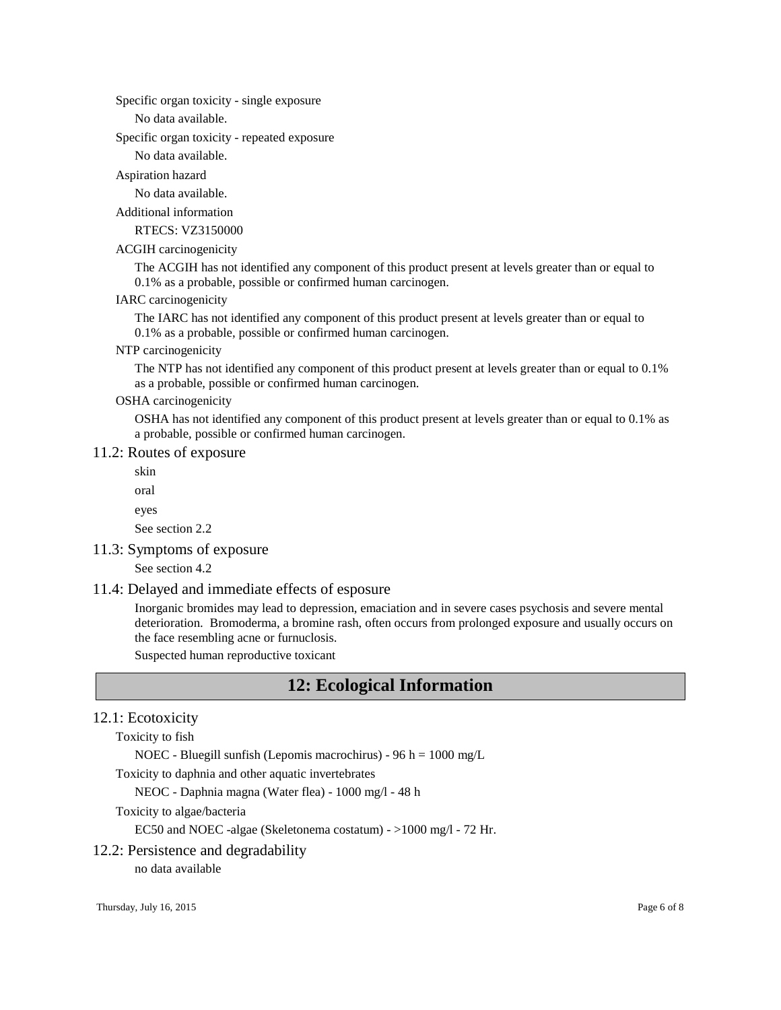Specific organ toxicity - single exposure

No data available.

Specific organ toxicity - repeated exposure

No data available.

Aspiration hazard

No data available.

Additional information

RTECS: VZ3150000

#### ACGIH carcinogenicity

The ACGIH has not identified any component of this product present at levels greater than or equal to 0.1% as a probable, possible or confirmed human carcinogen.

#### IARC carcinogenicity

The IARC has not identified any component of this product present at levels greater than or equal to 0.1% as a probable, possible or confirmed human carcinogen.

#### NTP carcinogenicity

The NTP has not identified any component of this product present at levels greater than or equal to 0.1% as a probable, possible or confirmed human carcinogen.

#### OSHA carcinogenicity

OSHA has not identified any component of this product present at levels greater than or equal to 0.1% as a probable, possible or confirmed human carcinogen.

#### 11.2: Routes of exposure

skin

oral

eyes

See section 2.2

## 11.3: Symptoms of exposure

See section 4.2

#### 11.4: Delayed and immediate effects of esposure

Inorganic bromides may lead to depression, emaciation and in severe cases psychosis and severe mental deterioration. Bromoderma, a bromine rash, often occurs from prolonged exposure and usually occurs on the face resembling acne or furnuclosis.

Suspected human reproductive toxicant

## **12: Ecological Information**

## 12.1: Ecotoxicity

Toxicity to fish

NOEC - Bluegill sunfish (Lepomis macrochirus) - 96 h = 1000 mg/L

Toxicity to daphnia and other aquatic invertebrates

NEOC - Daphnia magna (Water flea) - 1000 mg/l - 48 h

#### Toxicity to algae/bacteria

EC50 and NOEC -algae (Skeletonema costatum) - >1000 mg/l - 72 Hr.

#### 12.2: Persistence and degradability

no data available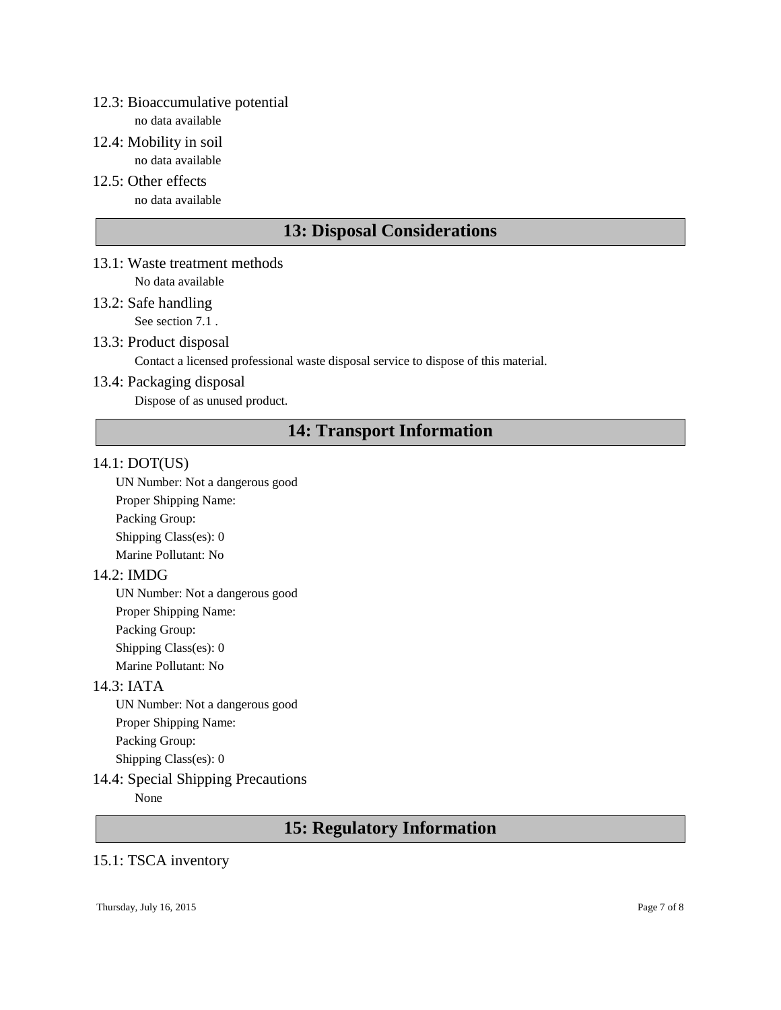## 12.3: Bioaccumulative potential

no data available

- 12.4: Mobility in soil no data available
- 12.5: Other effects no data available

# **13: Disposal Considerations**

- 13.1: Waste treatment methods No data available
- 13.2: Safe handling See section 7.1.

## 13.3: Product disposal

Contact a licensed professional waste disposal service to dispose of this material.

## 13.4: Packaging disposal

Dispose of as unused product.

# **14: Transport Information**

## 14.1: DOT(US)

UN Number: Not a dangerous good Proper Shipping Name: Packing Group: Shipping Class(es): 0 Marine Pollutant: No

## 14.2: IMDG

UN Number: Not a dangerous good Proper Shipping Name: Packing Group: Shipping Class(es): 0 Marine Pollutant: No

## 14.3: IATA

UN Number: Not a dangerous good Proper Shipping Name: Packing Group: Shipping Class(es): 0

## 14.4: Special Shipping Precautions

None

# **15: Regulatory Information**

## 15.1: TSCA inventory